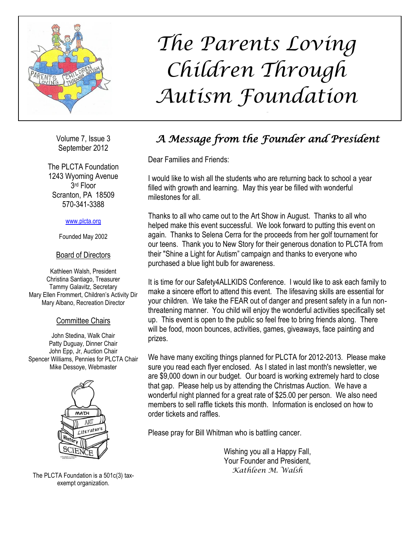

Volume 7, Issue 3 September 2012

The PLCTA Foundation 1243 Wyoming Avenue 3 rd Floor Scranton, PA 18509 570-341-3388

#### [www.plcta.org](http://www.plcta.org/)

Founded May 2002

#### Board of Directors

Kathleen Walsh, President Christina Santiago, Treasurer Tammy Galavitz, Secretary Mary Ellen Frommert, Children's Activity Dir Mary Albano, Recreation Director

#### Committee Chairs

John Stedina, Walk Chair Patty Duguay, Dinner Chair John Epp, Jr, Auction Chair Spencer Williams, Pennies for PLCTA Chair Mike Dessoye, Webmaster



The PLCTA Foundation is a 501c(3) taxexempt organization.

## *The Parents Loving Children Through Autism Foundation*

## *A Message from the Founder and President Newsletter*

Dear Families and Friends:

I would like to wish all the students who are returning back to school a year filled with growth and learning. May this year be filled with wonderful milestones for all.

Thanks to all who came out to the Art Show in August. Thanks to all who helped make this event successful. We look forward to putting this event on again. Thanks to Selena Cerra for the proceeds from her golf tournament for our teens. Thank you to New Story for their generous donation to PLCTA from their "Shine a Light for Autism" campaign and thanks to everyone who purchased a blue light bulb for awareness.

It is time for our Safety4ALLKIDS Conference. I would like to ask each family to make a sincere effort to attend this event. The lifesaving skills are essential for your children. We take the FEAR out of danger and present safety in a fun nonthreatening manner. You child will enjoy the wonderful activities specifically set up. This event is open to the public so feel free to bring friends along. There will be food, moon bounces, activities, games, giveaways, face painting and prizes.

We have many exciting things planned for PLCTA for 2012-2013. Please make sure you read each flyer enclosed. As I stated in last month's newsletter, we are \$9,000 down in our budget. Our board is working extremely hard to close that gap. Please help us by attending the Christmas Auction. We have a wonderful night planned for a great rate of \$25.00 per person. We also need members to sell raffle tickets this month. Information is enclosed on how to order tickets and raffles.

Please pray for Bill Whitman who is battling cancer.

Wishing you all a Happy Fall, Your Founder and President, *Kathleen M. Walsh*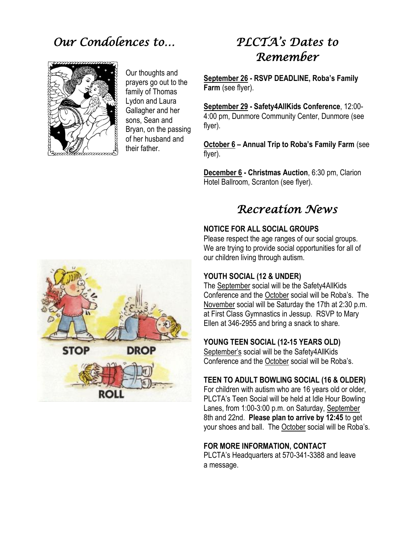### *Our Condolences to…*



Our thoughts and prayers go out to the family of Thomas Lydon and Laura Gallagher and her sons, Sean and Bryan, on the passing of her husband and their father.

## *PLCTA's Dates to Remember*

**September 26 - RSVP DEADLINE, Roba's Family Farm** (see flyer).

**September 29 - Safety4AllKids Conference**, 12:00- 4:00 pm, Dunmore Community Center, Dunmore (see flyer).

**October 6 – Annual Trip to Roba's Family Farm** (see flyer).

**December 6 - Christmas Auction**, 6:30 pm, Clarion Hotel Ballroom, Scranton (see flyer).

### *Recreation News*

#### **NOTICE FOR ALL SOCIAL GROUPS**

Please respect the age ranges of our social groups. We are trying to provide social opportunities for all of our children living through autism.

#### **YOUTH SOCIAL (12 & UNDER)**

The September social will be the Safety4AllKids Conference and the October social will be Roba's. The November social will be Saturday the 17th at 2:30 p.m. at First Class Gymnastics in Jessup. RSVP to Mary Ellen at 346-2955 and bring a snack to share.

#### **YOUNG TEEN SOCIAL (12-15 YEARS OLD)**

September's social will be the Safety4AllKids Conference and the October social will be Roba's.

#### **TEEN TO ADULT BOWLING SOCIAL (16 & OLDER)**

For children with autism who are 16 years old or older, PLCTA's Teen Social will be held at Idle Hour Bowling Lanes, from 1:00-3:00 p.m. on Saturday, September 8th and 22nd. **Please plan to arrive by 12:45** to get your shoes and ball. The October social will be Roba's.

#### **FOR MORE INFORMATION, CONTACT**

PLCTA's Headquarters at 570-341-3388 and leave a message.

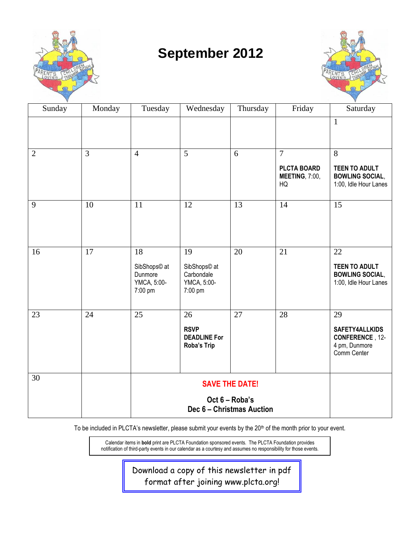

## **September 2012**



| Sunday         | Monday | Tuesday                                                 | Wednesday                                                  | Thursday | Friday                                            | Saturday                                                                              |
|----------------|--------|---------------------------------------------------------|------------------------------------------------------------|----------|---------------------------------------------------|---------------------------------------------------------------------------------------|
|                |        |                                                         |                                                            |          |                                                   | $\mathbf{1}$                                                                          |
|                | 3      |                                                         | 5                                                          | 6        | $\overline{7}$                                    | 8                                                                                     |
| $\overline{2}$ |        | $\overline{4}$                                          |                                                            |          | <b>PLCTA BOARD</b><br><b>MEETING, 7:00,</b><br>HQ | <b>TEEN TO ADULT</b><br><b>BOWLING SOCIAL,</b><br>1:00, Idle Hour Lanes               |
| 9              | 10     | 11                                                      | 12                                                         | 13       | 14                                                | 15                                                                                    |
| 16             | 17     | 18<br>SibShops© at<br>Dunmore<br>YMCA, 5:00-<br>7:00 pm | 19<br>SibShops© at<br>Carbondale<br>YMCA, 5:00-<br>7:00 pm | 20       | 21                                                | 22<br><b>TEEN TO ADULT</b><br><b>BOWLING SOCIAL,</b><br>1:00, Idle Hour Lanes         |
| 23             | 24     | 25                                                      | 26<br><b>RSVP</b><br><b>DEADLINE For</b><br>Roba's Trip    | 27       | 28                                                | 29<br><b>SAFETY4ALLKIDS</b><br><b>CONFERENCE, 12-</b><br>4 pm, Dunmore<br>Comm Center |
| 30             |        | <b>SAVE THE DATE!</b>                                   |                                                            |          |                                                   |                                                                                       |
|                |        | Oct 6 - Roba's<br>Dec 6 - Christmas Auction             |                                                            |          |                                                   |                                                                                       |

To be included in PLCTA's newsletter, please submit your events by the 20<sup>th</sup> of the month prior to your event.

Calendar items in **bold** print are PLCTA Foundation sponsored events. The PLCTA Foundation provides notification of third-party events in our calendar as a courtesy and assumes no responsibility for those events.

> Download a copy of this newsletter in pdf format after joining www.plcta.org!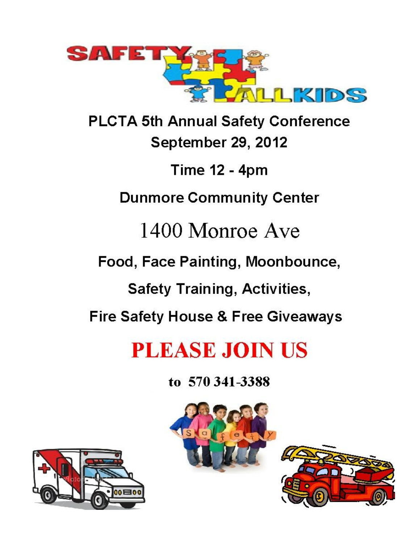

**PLCTA 5th Annual Safety Conference** September 29, 2012

**Time 12 - 4pm** 

**Dunmore Community Center** 

1400 Monroe Ave

Food, Face Painting, Moonbounce,

**Safety Training, Activities,** 

**Fire Safety House & Free Giveaways** 

## **PLEASE JOIN US**

to 570 341-3388





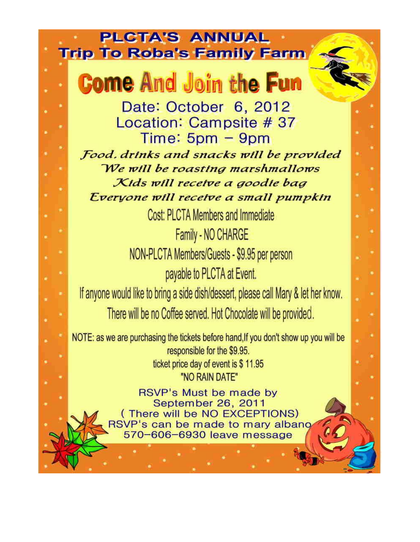## **PLCTA'S ANNUAL Trip To Roba's Family Farm**

# **Come And Join the Fun**

Date: October 6, 2012 Location: Campsite # 37  $Time: 5pm - 9pm$ Food, drinks and snacks will be provided

We will be roasting marshmallows Kids will receive a goodie bag Everyone will receive a small pumpkin

Cost: PLCTA Members and Immediate

Family - NO CHARGE NON-PLCTA Members/Guests - \$9.95 per person payable to PLCTA at Event.

If anyone would like to bring a side dish/dessert, please call Mary & let her know.

There will be no Coffee served. Hot Chocolate will be provided.

NOTE: as we are purchasing the tickets before hand, If you don't show up you will be responsible for the \$9.95. ticket price day of event is \$11.95 "NO RAIN DATE"

> RSVP's Must be made by September 26, 2011 (There will be NO EXCEPTIONS) RSVP's can be made to mary albang 570-606-6930 leave message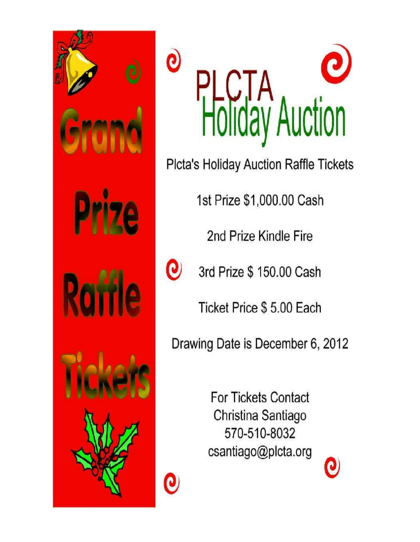



Plcta's Holiday Auction Raffle Tickets

1st Prize \$1,000.00 Cash

2nd Prize Kindle Fire



Q

3rd Prize \$ 150.00 Cash

Ticket Price \$ 5.00 Each

Drawing Date is December 6, 2012

**For Tickets Contact** Christina Santiago 570-510-8032 csantiago@plcta.org